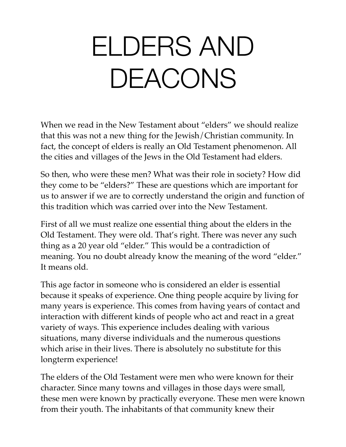# ELDERS AND DEACONS

When we read in the New Testament about "elders" we should realize that this was not a new thing for the Jewish/Christian community. In fact, the concept of elders is really an Old Testament phenomenon. All the cities and villages of the Jews in the Old Testament had elders.

So then, who were these men? What was their role in society? How did they come to be "elders?" These are questions which are important for us to answer if we are to correctly understand the origin and function of this tradition which was carried over into the New Testament.

First of all we must realize one essential thing about the elders in the Old Testament. They were old. That's right. There was never any such thing as a 20 year old "elder." This would be a contradiction of meaning. You no doubt already know the meaning of the word "elder." It means old.

This age factor in someone who is considered an elder is essential because it speaks of experience. One thing people acquire by living for many years is experience. This comes from having years of contact and interaction with different kinds of people who act and react in a great variety of ways. This experience includes dealing with various situations, many diverse individuals and the numerous questions which arise in their lives. There is absolutely no substitute for this longterm experience!

The elders of the Old Testament were men who were known for their character. Since many towns and villages in those days were small, these men were known by practically everyone. These men were known from their youth. The inhabitants of that community knew their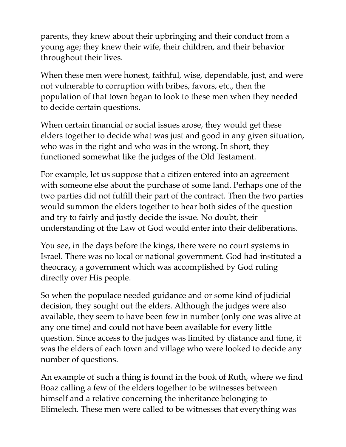parents, they knew about their upbringing and their conduct from a young age; they knew their wife, their children, and their behavior throughout their lives.

When these men were honest, faithful, wise, dependable, just, and were not vulnerable to corruption with bribes, favors, etc., then the population of that town began to look to these men when they needed to decide certain questions.

When certain financial or social issues arose, they would get these elders together to decide what was just and good in any given situation, who was in the right and who was in the wrong. In short, they functioned somewhat like the judges of the Old Testament.

For example, let us suppose that a citizen entered into an agreement with someone else about the purchase of some land. Perhaps one of the two parties did not fulfill their part of the contract. Then the two parties would summon the elders together to hear both sides of the question and try to fairly and justly decide the issue. No doubt, their understanding of the Law of God would enter into their deliberations.

You see, in the days before the kings, there were no court systems in Israel. There was no local or national government. God had instituted a theocracy, a government which was accomplished by God ruling directly over His people.

So when the populace needed guidance and or some kind of judicial decision, they sought out the elders. Although the judges were also available, they seem to have been few in number (only one was alive at any one time) and could not have been available for every little question. Since access to the judges was limited by distance and time, it was the elders of each town and village who were looked to decide any number of questions.

An example of such a thing is found in the book of Ruth, where we find Boaz calling a few of the elders together to be witnesses between himself and a relative concerning the inheritance belonging to Elimelech. These men were called to be witnesses that everything was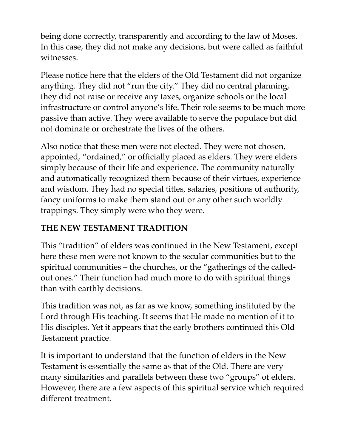being done correctly, transparently and according to the law of Moses. In this case, they did not make any decisions, but were called as faithful witnesses.

Please notice here that the elders of the Old Testament did not organize anything. They did not "run the city." They did no central planning, they did not raise or receive any taxes, organize schools or the local infrastructure or control anyone's life. Their role seems to be much more passive than active. They were available to serve the populace but did not dominate or orchestrate the lives of the others.

Also notice that these men were not elected. They were not chosen, appointed, "ordained," or officially placed as elders. They were elders simply because of their life and experience. The community naturally and automatically recognized them because of their virtues, experience and wisdom. They had no special titles, salaries, positions of authority, fancy uniforms to make them stand out or any other such worldly trappings. They simply were who they were.

# **THE NEW TESTAMENT TRADITION**

This "tradition" of elders was continued in the New Testament, except here these men were not known to the secular communities but to the spiritual communities – the churches, or the "gatherings of the calledout ones." Their function had much more to do with spiritual things than with earthly decisions.

This tradition was not, as far as we know, something instituted by the Lord through His teaching. It seems that He made no mention of it to His disciples. Yet it appears that the early brothers continued this Old Testament practice.

It is important to understand that the function of elders in the New Testament is essentially the same as that of the Old. There are very many similarities and parallels between these two "groups" of elders. However, there are a few aspects of this spiritual service which required different treatment.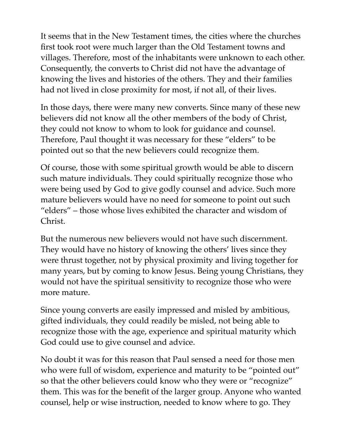It seems that in the New Testament times, the cities where the churches first took root were much larger than the Old Testament towns and villages. Therefore, most of the inhabitants were unknown to each other. Consequently, the converts to Christ did not have the advantage of knowing the lives and histories of the others. They and their families had not lived in close proximity for most, if not all, of their lives.

In those days, there were many new converts. Since many of these new believers did not know all the other members of the body of Christ, they could not know to whom to look for guidance and counsel. Therefore, Paul thought it was necessary for these "elders" to be pointed out so that the new believers could recognize them.

Of course, those with some spiritual growth would be able to discern such mature individuals. They could spiritually recognize those who were being used by God to give godly counsel and advice. Such more mature believers would have no need for someone to point out such "elders" – those whose lives exhibited the character and wisdom of Christ.

But the numerous new believers would not have such discernment. They would have no history of knowing the others' lives since they were thrust together, not by physical proximity and living together for many years, but by coming to know Jesus. Being young Christians, they would not have the spiritual sensitivity to recognize those who were more mature.

Since young converts are easily impressed and misled by ambitious, gifted individuals, they could readily be misled, not being able to recognize those with the age, experience and spiritual maturity which God could use to give counsel and advice.

No doubt it was for this reason that Paul sensed a need for those men who were full of wisdom, experience and maturity to be "pointed out" so that the other believers could know who they were or "recognize" them. This was for the benefit of the larger group. Anyone who wanted counsel, help or wise instruction, needed to know where to go. They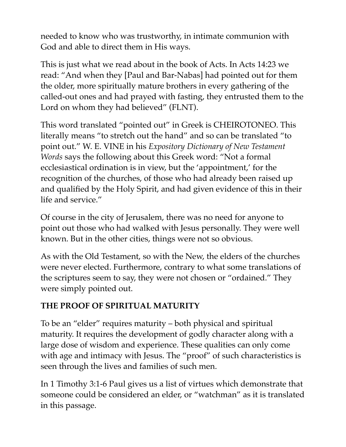needed to know who was trustworthy, in intimate communion with God and able to direct them in His ways.

This is just what we read about in the book of Acts. In Acts 14:23 we read: "And when they [Paul and Bar-Nabas] had pointed out for them the older, more spiritually mature brothers in every gathering of the called-out ones and had prayed with fasting, they entrusted them to the Lord on whom they had believed" (FLNT).

This word translated "pointed out" in Greek is CHEIROTONEO. This literally means "to stretch out the hand" and so can be translated "to point out." W. E. VINE in his *Expository Dictionary of New Testament Words* says the following about this Greek word: "Not a formal ecclesiastical ordination is in view, but the 'appointment,' for the recognition of the churches, of those who had already been raised up and qualified by the Holy Spirit, and had given evidence of this in their life and service."

Of course in the city of Jerusalem, there was no need for anyone to point out those who had walked with Jesus personally. They were well known. But in the other cities, things were not so obvious.

As with the Old Testament, so with the New, the elders of the churches were never elected. Furthermore, contrary to what some translations of the scriptures seem to say, they were not chosen or "ordained." They were simply pointed out.

# **THE PROOF OF SPIRITUAL MATURITY**

To be an "elder" requires maturity – both physical and spiritual maturity. It requires the development of godly character along with a large dose of wisdom and experience. These qualities can only come with age and intimacy with Jesus. The "proof" of such characteristics is seen through the lives and families of such men.

In 1 Timothy 3:1-6 Paul gives us a list of virtues which demonstrate that someone could be considered an elder, or "watchman" as it is translated in this passage.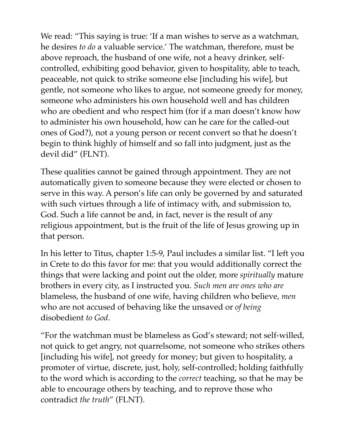We read: "This saying is true: 'If a man wishes to serve as a watchman, he desires *to do* a valuable service.' The watchman, therefore, must be above reproach, the husband of one wife, not a heavy drinker, selfcontrolled, exhibiting good behavior, given to hospitality, able to teach, peaceable, not quick to strike someone else [including his wife], but gentle, not someone who likes to argue, not someone greedy for money, someone who administers his own household well and has children who are obedient and who respect him (for if a man doesn't know how to administer his own household, how can he care for the called-out ones of God?), not a young person or recent convert so that he doesn't begin to think highly of himself and so fall into judgment, just as the devil did" (FLNT).

These qualities cannot be gained through appointment. They are not automatically given to someone because they were elected or chosen to serve in this way. A person's life can only be governed by and saturated with such virtues through a life of intimacy with, and submission to, God. Such a life cannot be and, in fact, never is the result of any religious appointment, but is the fruit of the life of Jesus growing up in that person.

In his letter to Titus, chapter 1:5-9, Paul includes a similar list. "I left you in Crete to do this favor for me: that you would additionally correct the things that were lacking and point out the older, more *spiritually* mature brothers in every city, as I instructed you. *Such men are ones who are*  blameless, the husband of one wife, having children who believe, *men*  who are not accused of behaving like the unsaved or *of being*  disobedient *to God*.

"For the watchman must be blameless as God's steward; not self-willed, not quick to get angry, not quarrelsome, not someone who strikes others [including his wife], not greedy for money; but given to hospitality, a promoter of virtue, discrete, just, holy, self-controlled; holding faithfully to the word which is according to the *correct* teaching, so that he may be able to encourage others by teaching, and to reprove those who contradict *the truth*" (FLNT).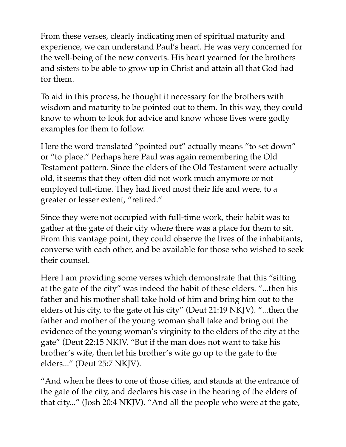From these verses, clearly indicating men of spiritual maturity and experience, we can understand Paul's heart. He was very concerned for the well-being of the new converts. His heart yearned for the brothers and sisters to be able to grow up in Christ and attain all that God had for them.

To aid in this process, he thought it necessary for the brothers with wisdom and maturity to be pointed out to them. In this way, they could know to whom to look for advice and know whose lives were godly examples for them to follow.

Here the word translated "pointed out" actually means "to set down" or "to place." Perhaps here Paul was again remembering the Old Testament pattern. Since the elders of the Old Testament were actually old, it seems that they often did not work much anymore or not employed full-time. They had lived most their life and were, to a greater or lesser extent, "retired."

Since they were not occupied with full-time work, their habit was to gather at the gate of their city where there was a place for them to sit. From this vantage point, they could observe the lives of the inhabitants, converse with each other, and be available for those who wished to seek their counsel.

Here I am providing some verses which demonstrate that this "sitting at the gate of the city" was indeed the habit of these elders. "...then his father and his mother shall take hold of him and bring him out to the elders of his city, to the gate of his city" (Deut 21:19 NKJV). "...then the father and mother of the young woman shall take and bring out the evidence of the young woman's virginity to the elders of the city at the gate" (Deut 22:15 NKJV. "But if the man does not want to take his brother's wife, then let his brother's wife go up to the gate to the elders..." (Deut 25:7 NKJV).

"And when he flees to one of those cities, and stands at the entrance of the gate of the city, and declares his case in the hearing of the elders of that city..." (Josh 20:4 NKJV). "And all the people who were at the gate,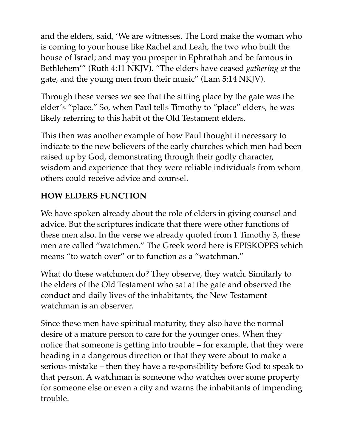and the elders, said, 'We are witnesses. The Lord make the woman who is coming to your house like Rachel and Leah, the two who built the house of Israel; and may you prosper in Ephrathah and be famous in Bethlehem'" (Ruth 4:11 NKJV). "The elders have ceased *gathering at* the gate, and the young men from their music" (Lam 5:14 NKJV).

Through these verses we see that the sitting place by the gate was the elder's "place." So, when Paul tells Timothy to "place" elders, he was likely referring to this habit of the Old Testament elders.

This then was another example of how Paul thought it necessary to indicate to the new believers of the early churches which men had been raised up by God, demonstrating through their godly character, wisdom and experience that they were reliable individuals from whom others could receive advice and counsel.

# **HOW ELDERS FUNCTION**

We have spoken already about the role of elders in giving counsel and advice. But the scriptures indicate that there were other functions of these men also. In the verse we already quoted from 1 Timothy 3, these men are called "watchmen." The Greek word here is EPISKOPES which means "to watch over" or to function as a "watchman."

What do these watchmen do? They observe, they watch. Similarly to the elders of the Old Testament who sat at the gate and observed the conduct and daily lives of the inhabitants, the New Testament watchman is an observer.

Since these men have spiritual maturity, they also have the normal desire of a mature person to care for the younger ones. When they notice that someone is getting into trouble – for example, that they were heading in a dangerous direction or that they were about to make a serious mistake – then they have a responsibility before God to speak to that person. A watchman is someone who watches over some property for someone else or even a city and warns the inhabitants of impending trouble.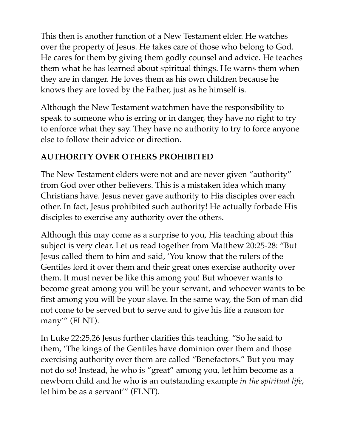This then is another function of a New Testament elder. He watches over the property of Jesus. He takes care of those who belong to God. He cares for them by giving them godly counsel and advice. He teaches them what he has learned about spiritual things. He warns them when they are in danger. He loves them as his own children because he knows they are loved by the Father, just as he himself is.

Although the New Testament watchmen have the responsibility to speak to someone who is erring or in danger, they have no right to try to enforce what they say. They have no authority to try to force anyone else to follow their advice or direction.

#### **AUTHORITY OVER OTHERS PROHIBITED**

The New Testament elders were not and are never given "authority" from God over other believers. This is a mistaken idea which many Christians have. Jesus never gave authority to His disciples over each other. In fact, Jesus prohibited such authority! He actually forbade His disciples to exercise any authority over the others.

Although this may come as a surprise to you, His teaching about this subject is very clear. Let us read together from Matthew 20:25-28: "But Jesus called them to him and said, 'You know that the rulers of the Gentiles lord it over them and their great ones exercise authority over them. It must never be like this among you! But whoever wants to become great among you will be your servant, and whoever wants to be first among you will be your slave. In the same way, the Son of man did not come to be served but to serve and to give his life a ransom for many'" (FLNT).

In Luke 22:25,26 Jesus further clarifies this teaching. "So he said to them, 'The kings of the Gentiles have dominion over them and those exercising authority over them are called "Benefactors." But you may not do so! Instead, he who is "great" among you, let him become as a newborn child and he who is an outstanding example *in the spiritual life*, let him be as a servant'" (FLNT).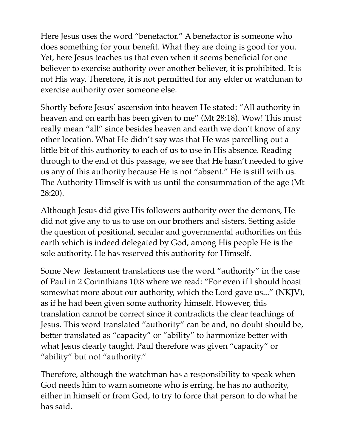Here Jesus uses the word "benefactor." A benefactor is someone who does something for your benefit. What they are doing is good for you. Yet, here Jesus teaches us that even when it seems beneficial for one believer to exercise authority over another believer, it is prohibited. It is not His way. Therefore, it is not permitted for any elder or watchman to exercise authority over someone else.

Shortly before Jesus' ascension into heaven He stated: "All authority in heaven and on earth has been given to me" (Mt 28:18). Wow! This must really mean "all" since besides heaven and earth we don't know of any other location. What He didn't say was that He was parcelling out a little bit of this authority to each of us to use in His absence. Reading through to the end of this passage, we see that He hasn't needed to give us any of this authority because He is not "absent." He is still with us. The Authority Himself is with us until the consummation of the age (Mt 28:20).

Although Jesus did give His followers authority over the demons, He did not give any to us to use on our brothers and sisters. Setting aside the question of positional, secular and governmental authorities on this earth which is indeed delegated by God, among His people He is the sole authority. He has reserved this authority for Himself.

Some New Testament translations use the word "authority" in the case of Paul in 2 Corinthians 10:8 where we read: "For even if I should boast somewhat more about our authority, which the Lord gave us..." (NKJV), as if he had been given some authority himself. However, this translation cannot be correct since it contradicts the clear teachings of Jesus. This word translated "authority" can be and, no doubt should be, better translated as "capacity" or "ability" to harmonize better with what Jesus clearly taught. Paul therefore was given "capacity" or "ability" but not "authority."

Therefore, although the watchman has a responsibility to speak when God needs him to warn someone who is erring, he has no authority, either in himself or from God, to try to force that person to do what he has said.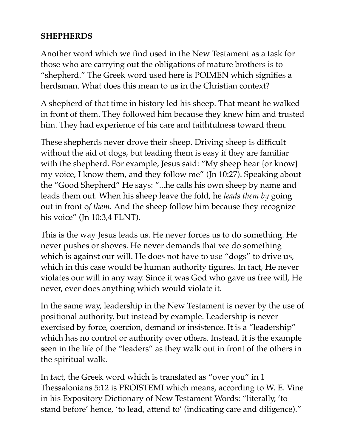#### **SHEPHERDS**

Another word which we find used in the New Testament as a task for those who are carrying out the obligations of mature brothers is to "shepherd." The Greek word used here is POIMEN which signifies a herdsman. What does this mean to us in the Christian context?

A shepherd of that time in history led his sheep. That meant he walked in front of them. They followed him because they knew him and trusted him. They had experience of his care and faithfulness toward them.

These shepherds never drove their sheep. Driving sheep is difficult without the aid of dogs, but leading them is easy if they are familiar with the shepherd. For example, Jesus said: "My sheep hear {or know} my voice, I know them, and they follow me" (Jn 10:27). Speaking about the "Good Shepherd" He says: "...he calls his own sheep by name and leads them out. When his sheep leave the fold, he *leads them by* going out in front o*f them.* And the sheep follow him because they recognize his voice" (Jn 10:3,4 FLNT).

This is the way Jesus leads us. He never forces us to do something. He never pushes or shoves. He never demands that we do something which is against our will. He does not have to use "dogs" to drive us, which in this case would be human authority figures. In fact, He never violates our will in any way. Since it was God who gave us free will, He never, ever does anything which would violate it.

In the same way, leadership in the New Testament is never by the use of positional authority, but instead by example. Leadership is never exercised by force, coercion, demand or insistence. It is a "leadership" which has no control or authority over others. Instead, it is the example seen in the life of the "leaders" as they walk out in front of the others in the spiritual walk.

In fact, the Greek word which is translated as "over you" in 1 Thessalonians 5:12 is PROISTEMI which means, according to W. E. Vine in his Expository Dictionary of New Testament Words: "literally, 'to stand before' hence, 'to lead, attend to' (indicating care and diligence)."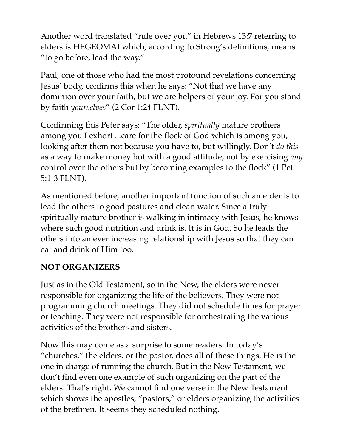Another word translated "rule over you" in Hebrews 13:7 referring to elders is HEGEOMAI which, according to Strong's definitions, means "to go before, lead the way."

Paul, one of those who had the most profound revelations concerning Jesus' body, confirms this when he says: "Not that we have any dominion over your faith, but we are helpers of your joy. For you stand by faith *yourselves*" (2 Cor 1:24 FLNT).

Confirming this Peter says: "The older, *spiritually* mature brothers among you I exhort ...care for the flock of God which is among you, looking after them not because you have to, but willingly. Don't *do this*  as a way to make money but with a good attitude, not by exercising *any*  control over the others but by becoming examples to the flock" (1 Pet 5:1-3 FLNT).

As mentioned before, another important function of such an elder is to lead the others to good pastures and clean water. Since a truly spiritually mature brother is walking in intimacy with Jesus, he knows where such good nutrition and drink is. It is in God. So he leads the others into an ever increasing relationship with Jesus so that they can eat and drink of Him too.

#### **NOT ORGANIZERS**

Just as in the Old Testament, so in the New, the elders were never responsible for organizing the life of the believers. They were not programming church meetings. They did not schedule times for prayer or teaching. They were not responsible for orchestrating the various activities of the brothers and sisters.

Now this may come as a surprise to some readers. In today's "churches," the elders, or the pastor, does all of these things. He is the one in charge of running the church. But in the New Testament, we don't find even one example of such organizing on the part of the elders. That's right. We cannot find one verse in the New Testament which shows the apostles, "pastors," or elders organizing the activities of the brethren. It seems they scheduled nothing.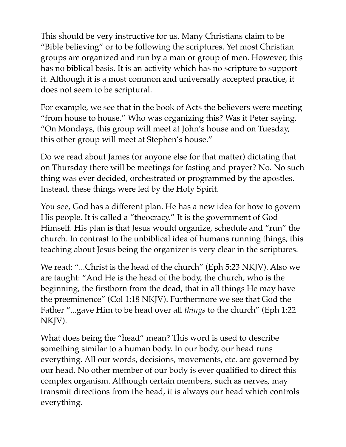This should be very instructive for us. Many Christians claim to be "Bible believing" or to be following the scriptures. Yet most Christian groups are organized and run by a man or group of men. However, this has no biblical basis. It is an activity which has no scripture to support it. Although it is a most common and universally accepted practice, it does not seem to be scriptural.

For example, we see that in the book of Acts the believers were meeting "from house to house." Who was organizing this? Was it Peter saying, "On Mondays, this group will meet at John's house and on Tuesday, this other group will meet at Stephen's house."

Do we read about James (or anyone else for that matter) dictating that on Thursday there will be meetings for fasting and prayer? No. No such thing was ever decided, orchestrated or programmed by the apostles. Instead, these things were led by the Holy Spirit.

You see, God has a different plan. He has a new idea for how to govern His people. It is called a "theocracy." It is the government of God Himself. His plan is that Jesus would organize, schedule and "run" the church. In contrast to the unbiblical idea of humans running things, this teaching about Jesus being the organizer is very clear in the scriptures.

We read: "...Christ is the head of the church" (Eph 5:23 NKJV). Also we are taught: "And He is the head of the body, the church, who is the beginning, the firstborn from the dead, that in all things He may have the preeminence" (Col 1:18 NKJV). Furthermore we see that God the Father "...gave Him to be head over all *things* to the church" (Eph 1:22 NKJV).

What does being the "head" mean? This word is used to describe something similar to a human body. In our body, our head runs everything. All our words, decisions, movements, etc. are governed by our head. No other member of our body is ever qualified to direct this complex organism. Although certain members, such as nerves, may transmit directions from the head, it is always our head which controls everything.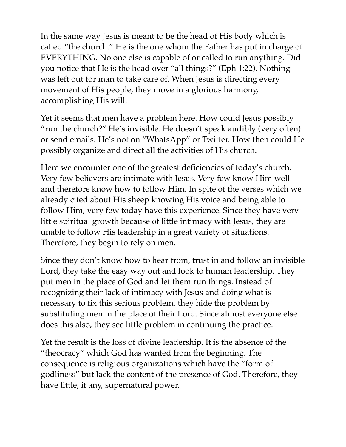In the same way Jesus is meant to be the head of His body which is called "the church." He is the one whom the Father has put in charge of EVERYTHING. No one else is capable of or called to run anything. Did you notice that He is the head over "all things?" (Eph 1:22). Nothing was left out for man to take care of. When Jesus is directing every movement of His people, they move in a glorious harmony, accomplishing His will.

Yet it seems that men have a problem here. How could Jesus possibly "run the church?" He's invisible. He doesn't speak audibly (very often) or send emails. He's not on "WhatsApp" or Twitter. How then could He possibly organize and direct all the activities of His church.

Here we encounter one of the greatest deficiencies of today's church. Very few believers are intimate with Jesus. Very few know Him well and therefore know how to follow Him. In spite of the verses which we already cited about His sheep knowing His voice and being able to follow Him, very few today have this experience. Since they have very little spiritual growth because of little intimacy with Jesus, they are unable to follow His leadership in a great variety of situations. Therefore, they begin to rely on men.

Since they don't know how to hear from, trust in and follow an invisible Lord, they take the easy way out and look to human leadership. They put men in the place of God and let them run things. Instead of recognizing their lack of intimacy with Jesus and doing what is necessary to fix this serious problem, they hide the problem by substituting men in the place of their Lord. Since almost everyone else does this also, they see little problem in continuing the practice.

Yet the result is the loss of divine leadership. It is the absence of the "theocracy" which God has wanted from the beginning. The consequence is religious organizations which have the "form of godliness" but lack the content of the presence of God. Therefore, they have little, if any, supernatural power.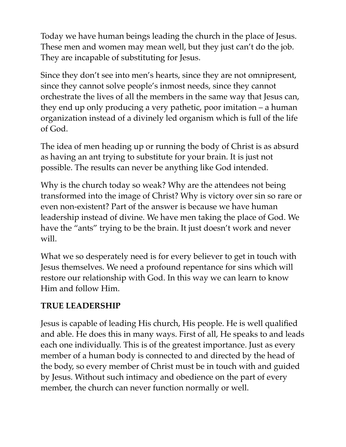Today we have human beings leading the church in the place of Jesus. These men and women may mean well, but they just can't do the job. They are incapable of substituting for Jesus.

Since they don't see into men's hearts, since they are not omnipresent, since they cannot solve people's inmost needs, since they cannot orchestrate the lives of all the members in the same way that Jesus can, they end up only producing a very pathetic, poor imitation – a human organization instead of a divinely led organism which is full of the life of God.

The idea of men heading up or running the body of Christ is as absurd as having an ant trying to substitute for your brain. It is just not possible. The results can never be anything like God intended.

Why is the church today so weak? Why are the attendees not being transformed into the image of Christ? Why is victory over sin so rare or even non-existent? Part of the answer is because we have human leadership instead of divine. We have men taking the place of God. We have the "ants" trying to be the brain. It just doesn't work and never will.

What we so desperately need is for every believer to get in touch with Jesus themselves. We need a profound repentance for sins which will restore our relationship with God. In this way we can learn to know Him and follow Him.

#### **TRUE LEADERSHIP**

Jesus is capable of leading His church, His people. He is well qualified and able. He does this in many ways. First of all, He speaks to and leads each one individually. This is of the greatest importance. Just as every member of a human body is connected to and directed by the head of the body, so every member of Christ must be in touch with and guided by Jesus. Without such intimacy and obedience on the part of every member, the church can never function normally or well.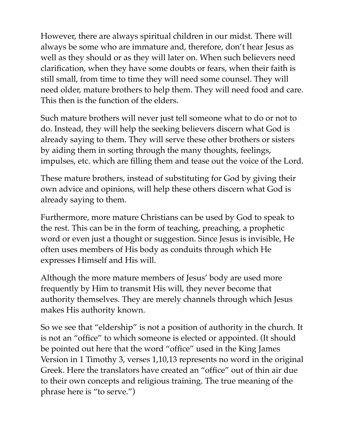However, there are always spiritual children in our midst. There will always be some who are immature and, therefore, don't hear Jesus as well as they should or as they will later on. When such believers need clarification, when they have some doubts or fears, when their faith is still small, from time to time they will need some counsel. They will need older, mature brothers to help them. They will need food and care. This then is the function of the elders.

Such mature brothers will never just tell someone what to do or not to do. Instead, they will help the seeking believers discern what God is already saying to them. They will serve these other brothers or sisters by aiding them in sorting through the many thoughts, feelings, impulses, etc. which are filling them and tease out the voice of the Lord.

These mature brothers, instead of substituting for God by giving their own advice and opinions, will help these others discern what God is already saying to them.

Furthermore, more mature Christians can be used by God to speak to the rest. This can be in the form of teaching, preaching, a prophetic word or even just a thought or suggestion. Since Jesus is invisible, He often uses members of His body as conduits through which He expresses Himself and His will.

Although the more mature members of Jesus' body are used more frequently by Him to transmit His will, they never become that authority themselves. They are merely channels through which Jesus makes His authority known.

So we see that "eldership" is not a position of authority in the church. It is not an "office" to which someone is elected or appointed. (It should be pointed out here that the word "office" used in the King James Version in 1 Timothy 3, verses 1,10,13 represents no word in the original Greek. Here the translators have created an "office" out of thin air due to their own concepts and religious training. The true meaning of the phrase here is "to serve.")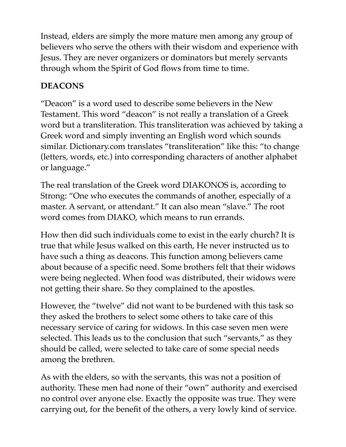Instead, elders are simply the more mature men among any group of believers who serve the others with their wisdom and experience with Jesus. They are never organizers or dominators but merely servants through whom the Spirit of God flows from time to time.

# **DEACONS**

"Deacon" is a word used to describe some believers in the New Testament. This word "deacon" is not really a translation of a Greek word but a transliteration. This transliteration was achieved by taking a Greek word and simply inventing an English word which sounds similar. Dictionary.com translates "transliteration" like this: "to change (letters, words, etc.) into corresponding characters of another alphabet or language."

The real translation of the Greek word DIAKONOS is, according to Strong: "One who executes the commands of another, especially of a master. A servant, or attendant." It can also mean "slave." The root word comes from DIAKO, which means to run errands.

How then did such individuals come to exist in the early church? It is true that while Jesus walked on this earth, He never instructed us to have such a thing as deacons. This function among believers came about because of a specific need. Some brothers felt that their widows were being neglected. When food was distributed, their widows were not getting their share. So they complained to the apostles.

However, the "twelve" did not want to be burdened with this task so they asked the brothers to select some others to take care of this necessary service of caring for widows. In this case seven men were selected. This leads us to the conclusion that such "servants," as they should be called, were selected to take care of some special needs among the brethren.

As with the elders, so with the servants, this was not a position of authority. These men had none of their "own" authority and exercised no control over anyone else. Exactly the opposite was true. They were carrying out, for the benefit of the others, a very lowly kind of service.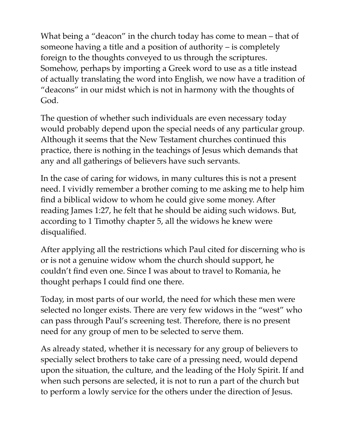What being a "deacon" in the church today has come to mean – that of someone having a title and a position of authority – is completely foreign to the thoughts conveyed to us through the scriptures. Somehow, perhaps by importing a Greek word to use as a title instead of actually translating the word into English, we now have a tradition of "deacons" in our midst which is not in harmony with the thoughts of God.

The question of whether such individuals are even necessary today would probably depend upon the special needs of any particular group. Although it seems that the New Testament churches continued this practice, there is nothing in the teachings of Jesus which demands that any and all gatherings of believers have such servants.

In the case of caring for widows, in many cultures this is not a present need. I vividly remember a brother coming to me asking me to help him find a biblical widow to whom he could give some money. After reading James 1:27, he felt that he should be aiding such widows. But, according to 1 Timothy chapter 5, all the widows he knew were disqualified.

After applying all the restrictions which Paul cited for discerning who is or is not a genuine widow whom the church should support, he couldn't find even one. Since I was about to travel to Romania, he thought perhaps I could find one there.

Today, in most parts of our world, the need for which these men were selected no longer exists. There are very few widows in the "west" who can pass through Paul's screening test. Therefore, there is no present need for any group of men to be selected to serve them.

As already stated, whether it is necessary for any group of believers to specially select brothers to take care of a pressing need, would depend upon the situation, the culture, and the leading of the Holy Spirit. If and when such persons are selected, it is not to run a part of the church but to perform a lowly service for the others under the direction of Jesus.